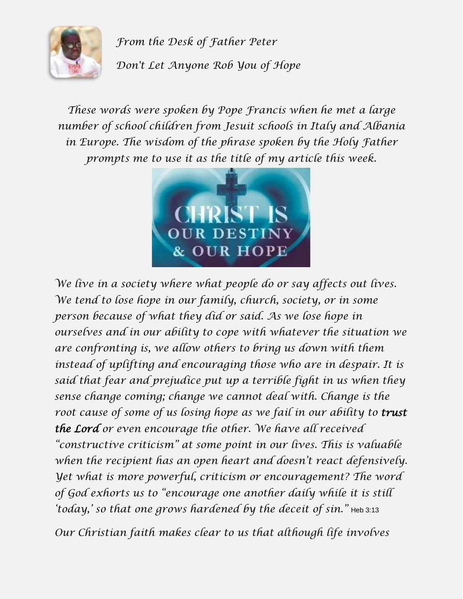

*From the Desk of Father Peter Don't Let Anyone Rob You of Hope*

*These words were spoken by Pope Francis when he met a large number of school children from Jesuit schools in Italy and Albania in Europe. The wisdom of the phrase spoken by the Holy Father prompts me to use it as the title of my article this week.*



*We live in a society where what people do or say affects out lives. We tend to lose hope in our family, church, society, or in some person because of what they did or said. As we lose hope in ourselves and in our ability to cope with whatever the situation we are confronting is, we allow others to bring us down with them instead of uplifting and encouraging those who are in despair. It is said that fear and prejudice put up a terrible fight in us when they sense change coming; change we cannot deal with. Change is the root cause of some of us losing hope as we fail in our ability to trust the Lord or even encourage the other. We have all received "constructive criticism" at some point in our lives. This is valuable when the recipient has an open heart and doesn't react defensively. Yet what is more powerful, criticism or encouragement? The word of God exhorts us to "encourage one another daily while it is still 'today,' so that one grows hardened by the deceit of sin."* Heb 3:13

*Our Christian faith makes clear to us that although life involves*